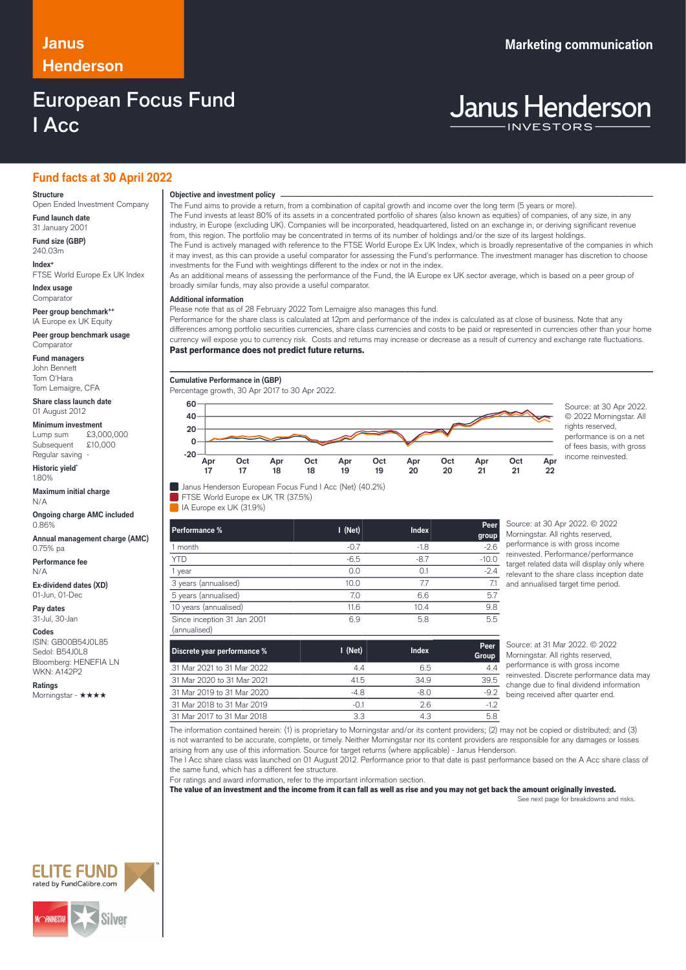# **Henderson**

### European Focus Fund I Acc

### **Janus Marketing communication**

## **Janus Henderson**

### **Fund facts at 30 April 2022**

#### **Structure**

Open Ended Investment Company **Fund launch date**

31 January 2001 **Fund size (GBP)**

240.03m **Index+** FTSE World Europe Ex UK Index

**Index usage Comparator** 

**Peer group benchmark++** IA Europe ex UK Equity

**Peer group benchmark usage** Comparator

**Fund managers** John Bennett

Tom O'Hara Tom Lemaigre, CFA

**Share class launch date** 01 August 2012

**Minimum investment**<br>Lump sum £3,000,000 Lump sum Subsequent £10,000 Regular saving -

**Historic yield\*** 1.80%

**Maximum initial charge** N/A

**Ongoing charge AMC included** 0.86%

**Annual management charge (AMC)** 0.75% pa

**Performance fee** N/A

**Ex-dividend dates (XD)** 01-Jun, 01-Dec

**Pay dates** 31-Jul, 30-Jan

**Codes**

ISIN: GB00B54J0L85 Sedol: B54J0L8 Bloomberg: HENEFIA LN WKN: A142P2

**Ratings** Morningstar - ★★★★

### **Objective and investment policy** ────────────────────────────────────────────────────────────────────────────────────────────────────────────────────────────────────────────────────────────────────────────────────────────────────────────────────────────────────────────────────────────────────────────────────────────────────────────────────────────────────────────────────────────────────────────────────────────────────────────────────────────────────────────────────────────────────────────────────────────────────────────────────

The Fund aims to provide a return, from a combination of capital growth and income over the long term (5 years or more). The Fund invests at least 80% of its assets in a concentrated portfolio of shares (also known as equities) of companies, of any size, in any industry, in Europe (excluding UK). Companies will be incorporated, headquartered, listed on an exchange in, or deriving significant revenue from, this region. The portfolio may be concentrated in terms of its number of holdings and/or the size of its largest holdings. The Fund is actively managed with reference to the FTSE World Europe Ex UK Index, which is broadly representative of the companies in which

it may invest, as this can provide a useful comparator for assessing the Fund's performance. The investment manager has discretion to choose investments for the Fund with weightings different to the index or not in the index.

As an additional means of assessing the performance of the Fund, the IA Europe ex UK sector average, which is based on a peer group of broadly similar funds, may also provide a useful comparator.

### … **Additional information**

Please note that as of 28 February 2022 Tom Lemaigre also manages this fund.

Performance for the share class is calculated at 12pm and performance of the index is calculated as at close of business. Note that any differences among portfolio securities currencies, share class currencies and costs to be paid or represented in currencies other than your home currency will expose you to currency risk. Costs and returns may increase or decrease as a result of currency and exchange rate fluctuations. Past performance does not predict future returns.

**Cumulative Performance in (GBP)**

Percentage growth, 30 Apr 2017 to 30 Apr 2022.

FTSE World Europe ex UK TR (37.5%) IA Europe ex UK (31.9%)



© 2022 Morningstar. All rights reserved. performance is on a net of fees basis, with gross income reinvested.

| Performance %                               | $I$ (Net) | <b>Index</b> | Peer<br>group |
|---------------------------------------------|-----------|--------------|---------------|
| 1 month                                     | $-0.7$    | $-1.8$       | $-2.6$        |
| <b>YTD</b>                                  | $-6.5$    | $-8.7$       | $-10.0$       |
| 1 year                                      | 0.0       | O 1          | $-2.4$        |
| 3 years (annualised)                        | 10.0      | 77           | 7.1           |
| 5 years (annualised)                        | 7.0       | 6.6          | 5.7           |
| 10 years (annualised)                       | 11.6      | 10.4         | 9.8           |
| Since inception 31 Jan 2001<br>(annualised) | 6.9       | 5.8          | 5.5           |

Source: at 30 Apr 2022. © 2022 Morningstar. All rights reserved, performance is with gross income reinvested. Performance/performance target related data will display only where relevant to the share class inception date and annualised target time period.

| Discrete year performance % | $I$ (Net) | Index | Peer.<br>Group |
|-----------------------------|-----------|-------|----------------|
| 31 Mar 2021 to 31 Mar 2022  | 44        | 6.5   | 44             |
| 31 Mar 2020 to 31 Mar 2021  | 41.5      | 349   | 39.5           |
| 31 Mar 2019 to 31 Mar 2020  | $-4.8$    | -8.0  | $-9.2$         |
| 31 Mar 2018 to 31 Mar 2019  | $-01$     | 26    | $-12$          |
| 31 Mar 2017 to 31 Mar 2018  | 3.3       | 4.3   | 5.8            |

Source: at 31 Mar 2022. © 2022. Morningstar. All rights reserved, performance is with gross income reinvested. Discrete performance data may change due to final dividend information being received after quarter end.

The information contained herein: (1) is proprietary to Morningstar and/or its content providers; (2) may not be copied or distributed; and (3) is not warranted to be accurate, complete, or timely. Neither Morningstar nor its content providers are responsible for any damages or losses arising from any use of this information. Source for target returns (where applicable) - Janus Henderson.

The I Acc share class was launched on 01 August 2012. Performance prior to that date is past performance based on the A Acc share class of the same fund, which has a different fee structure.

For ratings and award information, refer to the important information section.

The value of an investment and the income from it can fall as well as rise and you may not get back the amount originally invested.

See next page for breakdowns and risks.